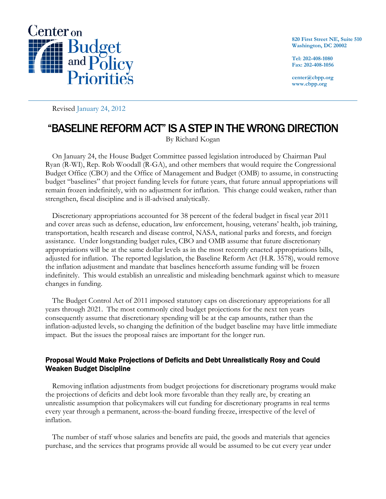

**820 First Street NE, Suite 510 Washington, DC 20002** 

**Tel: 202-408-1080 Fax: 202-408-1056** 

**center@cbpp.org www.cbpp.org** 

Revised January 24, 2012

# "BASELINE REFORM ACT" IS A STEP IN THE WRONG DIRECTION

By Richard Kogan

On January 24, the House Budget Committee passed legislation introduced by Chairman Paul Ryan (R-WI), Rep. Rob Woodall (R-GA), and other members that would require the Congressional Budget Office (CBO) and the Office of Management and Budget (OMB) to assume, in constructing budget "baselines" that project funding levels for future years, that future annual appropriations will remain frozen indefinitely, with no adjustment for inflation. This change could weaken, rather than strengthen, fiscal discipline and is ill-advised analytically.

Discretionary appropriations accounted for 38 percent of the federal budget in fiscal year 2011 and cover areas such as defense, education, law enforcement, housing, veterans' health, job training, transportation, health research and disease control, NASA, national parks and forests, and foreign assistance. Under longstanding budget rules, CBO and OMB assume that future discretionary appropriations will be at the same dollar levels as in the most recently enacted appropriations bills, adjusted for inflation. The reported legislation, the Baseline Reform Act (H.R. 3578), would remove the inflation adjustment and mandate that baselines henceforth assume funding will be frozen indefinitely. This would establish an unrealistic and misleading benchmark against which to measure changes in funding.

The Budget Control Act of 2011 imposed statutory caps on discretionary appropriations for all years through 2021. The most commonly cited budget projections for the next ten years consequently assume that discretionary spending will be at the cap amounts, rather than the inflation-adjusted levels, so changing the definition of the budget baseline may have little immediate impact. But the issues the proposal raises are important for the longer run.

## Proposal Would Make Projections of Deficits and Debt Unrealistically Rosy and Could Weaken Budget Discipline

Removing inflation adjustments from budget projections for discretionary programs would make the projections of deficits and debt look more favorable than they really are, by creating an unrealistic assumption that policymakers will cut funding for discretionary programs in real terms every year through a permanent, across-the-board funding freeze, irrespective of the level of inflation.

The number of staff whose salaries and benefits are paid, the goods and materials that agencies purchase, and the services that programs provide all would be assumed to be cut every year under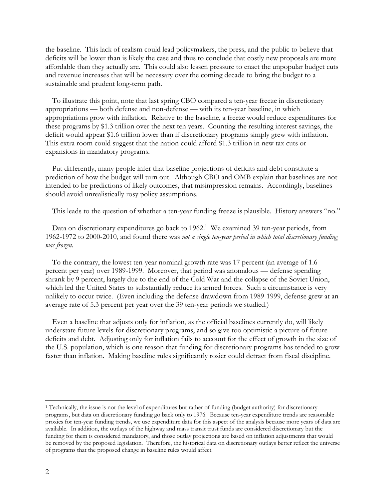the baseline. This lack of realism could lead policymakers, the press, and the public to believe that deficits will be lower than is likely the case and thus to conclude that costly new proposals are more affordable than they actually are. This could also lessen pressure to enact the unpopular budget cuts and revenue increases that will be necessary over the coming decade to bring the budget to a sustainable and prudent long-term path.

To illustrate this point, note that last spring CBO compared a ten-year freeze in discretionary appropriations — both defense and non-defense — with its ten-year baseline, in which appropriations grow with inflation. Relative to the baseline, a freeze would reduce expenditures for these programs by \$1.3 trillion over the next ten years. Counting the resulting interest savings, the deficit would appear \$1.6 trillion lower than if discretionary programs simply grew with inflation. This extra room could suggest that the nation could afford \$1.3 trillion in new tax cuts or expansions in mandatory programs.

Put differently, many people infer that baseline projections of deficits and debt constitute a prediction of how the budget will turn out. Although CBO and OMB explain that baselines are not intended to be predictions of likely outcomes, that misimpression remains. Accordingly, baselines should avoid unrealistically rosy policy assumptions.

This leads to the question of whether a ten-year funding freeze is plausible. History answers "no."

Data on discretionary expenditures go back to 1962.<sup>1</sup> We examined 39 ten-year periods, from 1962-1972 to 2000-2010, and found there was *not a single ten-year period in which total discretionary funding was frozen*.

To the contrary, the lowest ten-year nominal growth rate was 17 percent (an average of 1.6 percent per year) over 1989-1999. Moreover, that period was anomalous — defense spending shrank by 9 percent, largely due to the end of the Cold War and the collapse of the Soviet Union, which led the United States to substantially reduce its armed forces. Such a circumstance is very unlikely to occur twice. (Even including the defense drawdown from 1989-1999, defense grew at an average rate of 5.3 percent per year over the 39 ten-year periods we studied.)

Even a baseline that adjusts only for inflation, as the official baselines currently do, will likely understate future levels for discretionary programs, and so give too optimistic a picture of future deficits and debt. Adjusting only for inflation fails to account for the effect of growth in the size of the U.S. population, which is one reason that funding for discretionary programs has tended to grow faster than inflation.Making baseline rules significantly rosier could detract from fiscal discipline.

 $\overline{a}$ 

<sup>1</sup> Technically, the issue is not the level of expenditures but rather of funding (budget authority) for discretionary programs, but data on discretionary funding go back only to 1976. Because ten-year expenditure trends are reasonable proxies for ten-year funding trends, we use expenditure data for this aspect of the analysis because more years of data are available. In addition, the outlays of the highway and mass transit trust funds are considered discretionary but the funding for them is considered mandatory, and those outlay projections are based on inflation adjustments that would be removed by the proposed legislation. Therefore, the historical data on discretionary outlays better reflect the universe of programs that the proposed change in baseline rules would affect.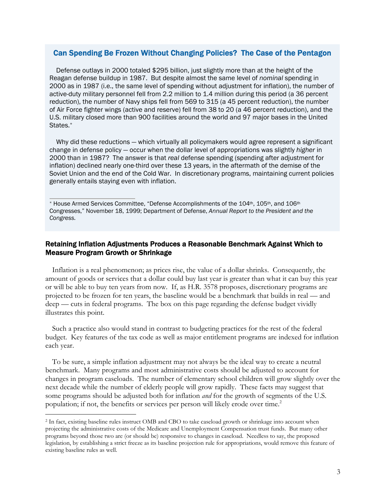## Can Spending Be Frozen Without Changing Policies? The Case of the Pentagon

Defense outlays in 2000 totaled \$295 billion, just slightly more than at the height of the Reagan defense buildup in 1987. But despite almost the same level of *nominal* spending in 2000 as in 1987 (i.e., the same level of spending without adjustment for inflation), the number of active-duty military personnel fell from 2.2 million to 1.4 million during this period (a 36 percent reduction), the number of Navy ships fell from 569 to 315 (a 45 percent reduction), the number of Air Force fighter wings (active and reserve) fell from 38 to 20 (a 46 percent reduction), and the U.S. military closed more than 900 facilities around the world and 97 major bases in the United States.\*

Why did these reductions — which virtually all policymakers would agree represent a significant change in defense policy — occur when the dollar level of appropriations was slightly *higher* in 2000 than in 1987? The answer is that *real* defense spending (spending after adjustment for inflation) declined nearly one-third over these 13 years, in the aftermath of the demise of the Soviet Union and the end of the Cold War. In discretionary programs, maintaining current policies generally entails staying even with inflation.

#### Retaining Inflation Adjustments Produces a Reasonable Benchmark Against Which to Measure Program Growth or Shrinkage

Inflation is a real phenomenon; as prices rise, the value of a dollar shrinks. Consequently, the amount of goods or services that a dollar could buy last year is greater than what it can buy this year or will be able to buy ten years from now. If, as H.R. 3578 proposes, discretionary programs are projected to be frozen for ten years, the baseline would be a benchmark that builds in real — and deep — cuts in federal programs. The box on this page regarding the defense budget vividly illustrates this point.

Such a practice also would stand in contrast to budgeting practices for the rest of the federal budget. Key features of the tax code as well as major entitlement programs are indexed for inflation each year.

To be sure, a simple inflation adjustment may not always be the ideal way to create a neutral benchmark. Many programs and most administrative costs should be adjusted to account for changes in program caseloads. The number of elementary school children will grow slightly over the next decade while the number of elderly people will grow rapidly. These facts may suggest that some programs should be adjusted both for inflation *and* for the growth of segments of the U.S. population; if not, the benefits or services per person will likely erode over time.<sup>2</sup>

-

<sup>\*</sup> House Armed Services Committee, "Defense Accomplishments of the 104th, 105th, and 106th Congresses," November 18, 1999; Department of Defense, *Annual Report to the President and the Congress.*

<sup>2</sup> In fact, existing baseline rules instruct OMB and CBO to take caseload growth or shrinkage into account when projecting the administrative costs of the Medicare and Unemployment Compensation trust funds. But many other programs beyond those two are (or should be) responsive to changes in caseload. Needless to say, the proposed legislation, by establishing a strict freeze as its baseline projection rule for appropriations, would remove this feature of existing baseline rules as well.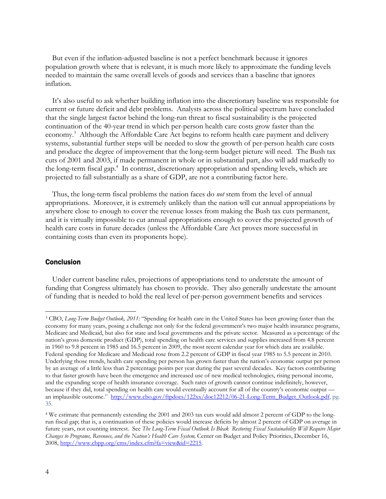But even if the inflation-adjusted baseline is not a perfect benchmark because it ignores population growth where that is relevant, it is much more likely to approximate the funding levels needed to maintain the same overall levels of goods and services than a baseline that ignores inflation.

It's also useful to ask whether building inflation into the discretionary baseline was responsible for current or future deficit and debt problems. Analysts across the political spectrum have concluded that the single largest factor behind the long-run threat to fiscal sustainability is the projected continuation of the 40-year trend in which per-person health care costs grow faster than the economy.<sup>3</sup> Although the Affordable Care Act begins to reform health care payment and delivery systems, substantial further steps will be needed to slow the growth of per-person health care costs and produce the degree of improvement that the long-term budget picture will need. The Bush tax cuts of 2001 and 2003, if made permanent in whole or in substantial part, also will add markedly to the long-term fiscal gap.<sup>4</sup> In contrast, discretionary appropriation and spending levels, which are projected to fall substantially as a share of GDP, are not a contributing factor here.

Thus, the long-term fiscal problems the nation faces do *not* stem from the level of annual appropriations. Moreover, it is extremely unlikely than the nation will cut annual appropriations by anywhere close to enough to cover the revenue losses from making the Bush tax cuts permanent, and it is virtually impossible to cut annual appropriations enough to cover the projected growth of health care costs in future decades (unless the Affordable Care Act proves more successful in containing costs than even its proponents hope).

#### Conclusion

-

Under current baseline rules, projections of appropriations tend to understate the amount of funding that Congress ultimately has chosen to provide. They also generally understate the amount of funding that is needed to hold the real level of per-person government benefits and services

<sup>3</sup> CBO, *Long-Term Budget Outlook, 2011:* "Spending for health care in the United States has been growing faster than the economy for many years, posing a challenge not only for the federal government's two major health insurance programs, Medicare and Medicaid, but also for state and local governments and the private sector. Measured as a percentage of the nation's gross domestic product (GDP), total spending on health care services and supplies increased from 4.8 percent in 1960 to 9.8 percent in 1985 and 16.5 percent in 2009, the most recent calendar year for which data are available. Federal spending for Medicare and Medicaid rose from 2.2 percent of GDP in fiscal year 1985 to 5.5 percent in 2010. Underlying those trends, health care spending per person has grown faster than the nation's economic output per person by an average of a little less than 2 percentage points per year during the past several decades. Key factors contributing to that faster growth have been the emergence and increased use of new medical technologies, rising personal income, and the expanding scope of health insurance coverage. Such rates of growth cannot continue indefinitely, however, because if they did, total spending on health care would eventually account for all of the country's economic output an implausible outcome." http://www.cbo.gov/ftpdocs/122xx/doc12212/06-21-Long-Term\_Budget\_Outlook.pdf, pg. 35.

<sup>4</sup> We estimate that permanently extending the 2001 and 2003 tax cuts would add almost 2 percent of GDP to the longrun fiscal gap; that is, a continuation of these policies would increase deficits by almost 2 percent of GDP on average in future years, not counting interest. See *The Long-Term Fiscal Outlook Is Bleak Restoring Fiscal Sustainability Will Require Major Changes to Programs, Revenues, and the Nation's Health Care System,* Center on Budget and Policy Priorities, December 16, 2008, http://www.cbpp.org/cms/index.cfm?fa=view&id=2215.